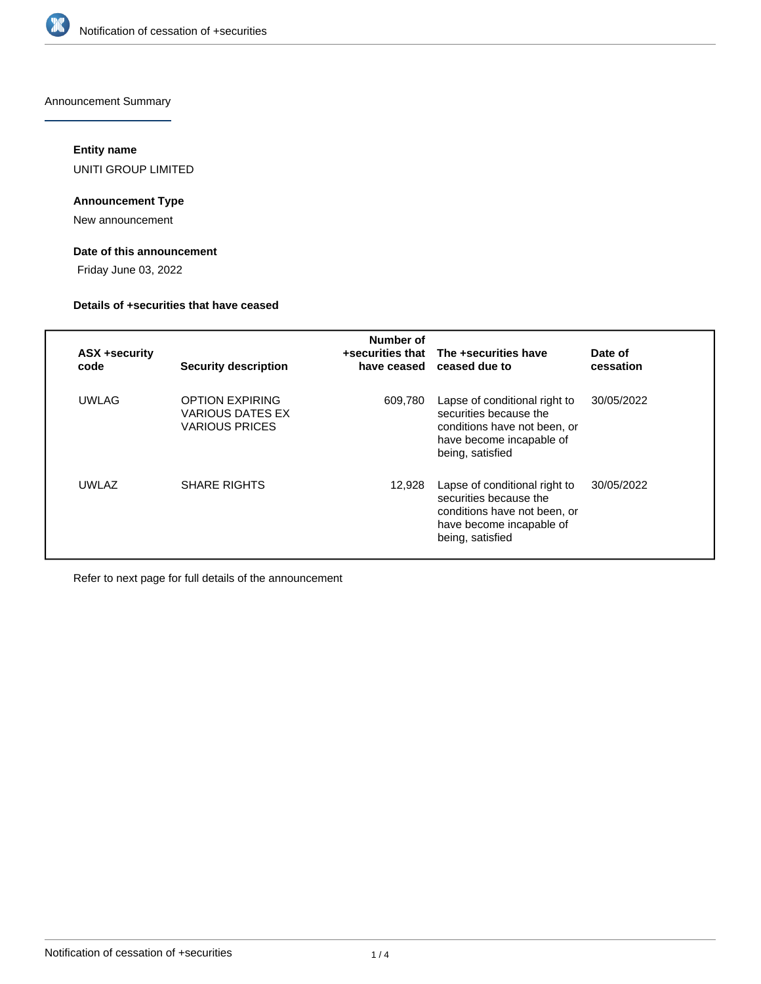

Announcement Summary

## **Entity name**

UNITI GROUP LIMITED

## **Announcement Type**

New announcement

## **Date of this announcement**

Friday June 03, 2022

### **Details of +securities that have ceased**

| ASX +security<br>code | <b>Security description</b>                                                | Number of<br>have ceased | +securities that The +securities have<br>ceased due to                                                                                  | Date of<br>cessation |
|-----------------------|----------------------------------------------------------------------------|--------------------------|-----------------------------------------------------------------------------------------------------------------------------------------|----------------------|
| <b>UWLAG</b>          | <b>OPTION EXPIRING</b><br><b>VARIOUS DATES EX</b><br><b>VARIOUS PRICES</b> | 609,780                  | Lapse of conditional right to<br>securities because the<br>conditions have not been, or<br>have become incapable of<br>being, satisfied | 30/05/2022           |
| UWI AZ                | <b>SHARE RIGHTS</b>                                                        | 12,928                   | Lapse of conditional right to<br>securities because the<br>conditions have not been, or<br>have become incapable of<br>being, satisfied | 30/05/2022           |

Refer to next page for full details of the announcement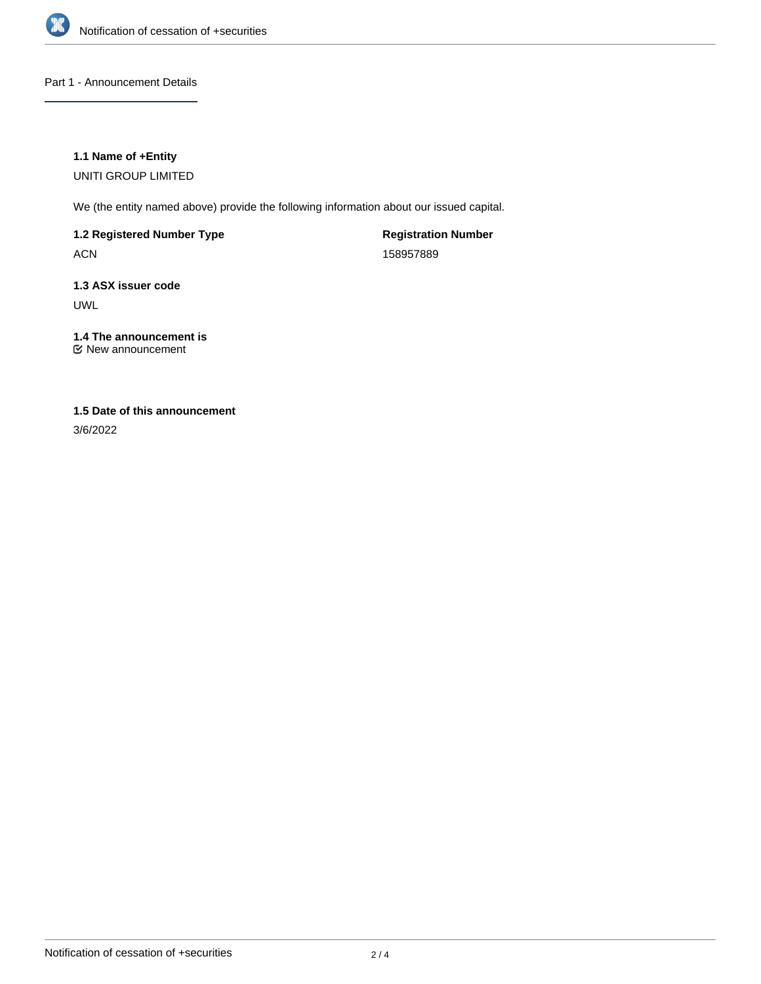

## Part 1 - Announcement Details

## **1.1 Name of +Entity**

UNITI GROUP LIMITED

We (the entity named above) provide the following information about our issued capital.

**1.2 Registered Number Type**

ACN

**Registration Number** 158957889

**1.3 ASX issuer code** UWL

### **1.4 The announcement is** New announcement

# **1.5 Date of this announcement**

3/6/2022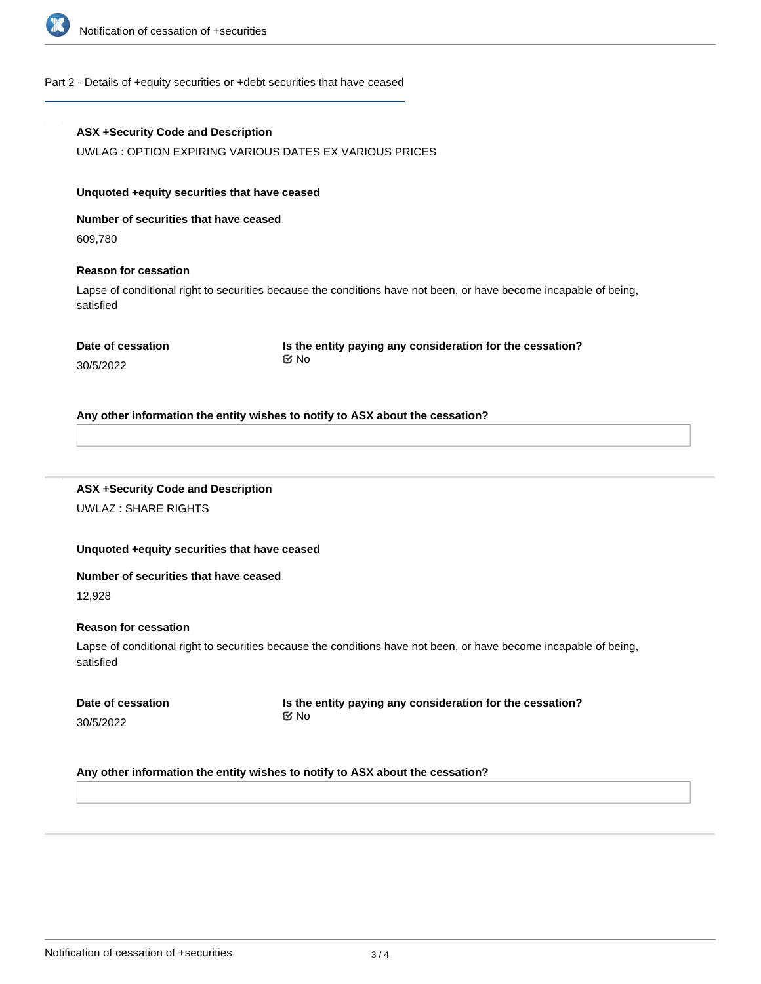

### Part 2 - Details of +equity securities or +debt securities that have ceased

### **ASX +Security Code and Description**

UWLAG : OPTION EXPIRING VARIOUS DATES EX VARIOUS PRICES

#### **Unquoted +equity securities that have ceased**

**Number of securities that have ceased**

609,780

### **Reason for cessation**

Lapse of conditional right to securities because the conditions have not been, or have become incapable of being, satisfied

30/5/2022

**Is the entity paying any consideration for the cessation?** No

# **Any other information the entity wishes to notify to ASX about the cessation?**

## **ASX +Security Code and Description** UWLAZ : SHARE RIGHTS

## **Unquoted +equity securities that have ceased**

#### **Number of securities that have ceased**

12,928

### **Reason for cessation**

Lapse of conditional right to securities because the conditions have not been, or have become incapable of being, satisfied

|           | Date of cessation |
|-----------|-------------------|
| 30/5/2022 |                   |

**Is the entity paying any consideration for the cessation?** No

## **Any other information the entity wishes to notify to ASX about the cessation?**